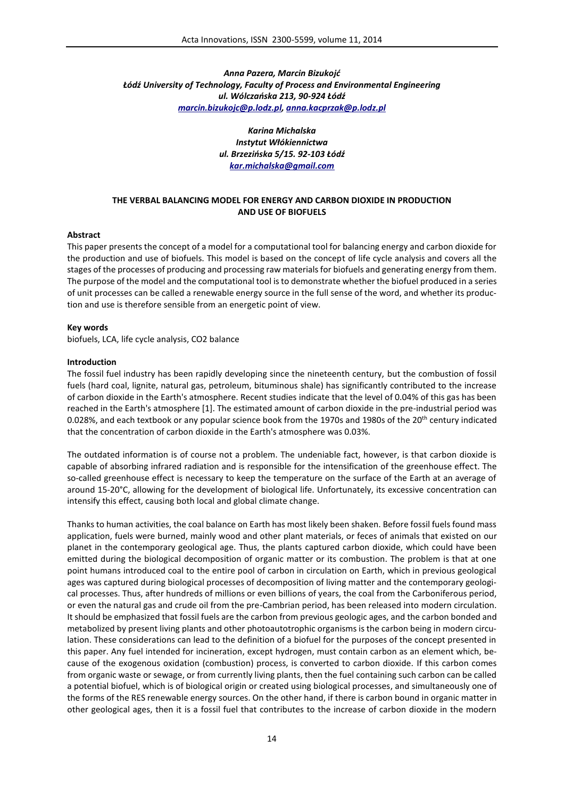# *Anna Pazera, Marcin Bizukojć Łódź University of Technology, Faculty of Process and Environmental Engineering ul. Wólczańska 213, 90-924 Łódź marcin.bizukojc@p.lodz.pl, anna.kacprzak@p.lodz.pl*

*Karina Michalska Instytut Włókiennictwa ul. Brzezińska 5/15. 92-103 Łódź kar.michalska@gmail.com*

## **THE VERBAL BALANCING MODEL FOR ENERGY AND CARBON DIOXIDE IN PRODUCTION AND USE OF BIOFUELS**

### **Abstract**

This paper presents the concept of a model for a computational tool for balancing energy and carbon dioxide for the production and use of biofuels. This model is based on the concept of life cycle analysis and covers all the stages of the processes of producing and processing raw materials for biofuels and generating energy from them. The purpose of the model and the computational tool is to demonstrate whether the biofuel produced in a series of unit processes can be called a renewable energy source in the full sense of the word, and whether its production and use is therefore sensible from an energetic point of view.

#### **Key words**

biofuels, LCA, life cycle analysis, CO2 balance

#### **Introduction**

The fossil fuel industry has been rapidly developing since the nineteenth century, but the combustion of fossil fuels (hard coal, lignite, natural gas, petroleum, bituminous shale) has significantly contributed to the increase of carbon dioxide in the Earth's atmosphere. Recent studies indicate that the level of 0.04% of this gas has been reached in the Earth's atmosphere [1]. The estimated amount of carbon dioxide in the pre-industrial period was 0.028%, and each textbook or any popular science book from the 1970s and 1980s of the 20<sup>th</sup> century indicated that the concentration of carbon dioxide in the Earth's atmosphere was 0.03%.

The outdated information is of course not a problem. The undeniable fact, however, is that carbon dioxide is capable of absorbing infrared radiation and is responsible for the intensification of the greenhouse effect. The so-called greenhouse effect is necessary to keep the temperature on the surface of the Earth at an average of around 15-20°C, allowing for the development of biological life. Unfortunately, its excessive concentration can intensify this effect, causing both local and global climate change.

Thanks to human activities, the coal balance on Earth has most likely been shaken. Before fossil fuels found mass application, fuels were burned, mainly wood and other plant materials, or feces of animals that existed on our planet in the contemporary geological age. Thus, the plants captured carbon dioxide, which could have been emitted during the biological decomposition of organic matter or its combustion. The problem is that at one point humans introduced coal to the entire pool of carbon in circulation on Earth, which in previous geological ages was captured during biological processes of decomposition of living matter and the contemporary geological processes. Thus, after hundreds of millions or even billions of years, the coal from the Carboniferous period, or even the natural gas and crude oil from the pre-Cambrian period, has been released into modern circulation. It should be emphasized that fossil fuels are the carbon from previous geologic ages, and the carbon bonded and metabolized by present living plants and other photoautotrophic organisms is the carbon being in modern circulation. These considerations can lead to the definition of a biofuel for the purposes of the concept presented in this paper. Any fuel intended for incineration, except hydrogen, must contain carbon as an element which, because of the exogenous oxidation (combustion) process, is converted to carbon dioxide. If this carbon comes from organic waste or sewage, or from currently living plants, then the fuel containing such carbon can be called a potential biofuel, which is of biological origin or created using biological processes, and simultaneously one of the forms of the RES renewable energy sources. On the other hand, if there is carbon bound in organic matter in other geological ages, then it is a fossil fuel that contributes to the increase of carbon dioxide in the modern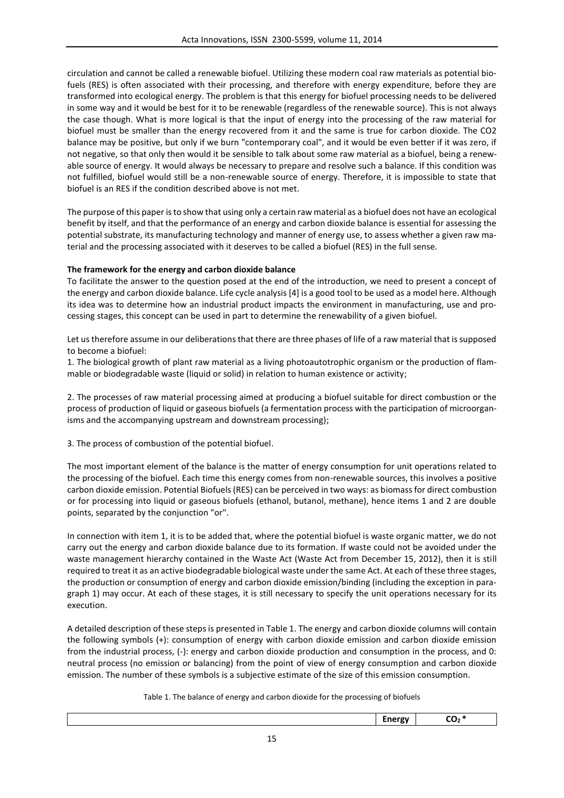circulation and cannot be called a renewable biofuel. Utilizing these modern coal raw materials as potential biofuels (RES) is often associated with their processing, and therefore with energy expenditure, before they are transformed into ecological energy. The problem is that this energy for biofuel processing needs to be delivered in some way and it would be best for it to be renewable (regardless of the renewable source). This is not always the case though. What is more logical is that the input of energy into the processing of the raw material for biofuel must be smaller than the energy recovered from it and the same is true for carbon dioxide. The CO2 balance may be positive, but only if we burn "contemporary coal", and it would be even better if it was zero, if not negative, so that only then would it be sensible to talk about some raw material as a biofuel, being a renewable source of energy. It would always be necessary to prepare and resolve such a balance. If this condition was not fulfilled, biofuel would still be a non-renewable source of energy. Therefore, it is impossible to state that biofuel is an RES if the condition described above is not met.

The purpose of this paper is to show that using only a certain raw material as a biofuel does not have an ecological benefit by itself, and that the performance of an energy and carbon dioxide balance is essential for assessing the potential substrate, its manufacturing technology and manner of energy use, to assess whether a given raw material and the processing associated with it deserves to be called a biofuel (RES) in the full sense.

# **The framework for the energy and carbon dioxide balance**

To facilitate the answer to the question posed at the end of the introduction, we need to present a concept of the energy and carbon dioxide balance. Life cycle analysis [4] is a good tool to be used as a model here. Although its idea was to determine how an industrial product impacts the environment in manufacturing, use and processing stages, this concept can be used in part to determine the renewability of a given biofuel.

Let us therefore assume in our deliberations that there are three phases of life of a raw material that is supposed to become a biofuel:

1. The biological growth of plant raw material as a living photoautotrophic organism or the production of flammable or biodegradable waste (liquid or solid) in relation to human existence or activity;

2. The processes of raw material processing aimed at producing a biofuel suitable for direct combustion or the process of production of liquid or gaseous biofuels (a fermentation process with the participation of microorganisms and the accompanying upstream and downstream processing);

3. The process of combustion of the potential biofuel.

The most important element of the balance is the matter of energy consumption for unit operations related to the processing of the biofuel. Each time this energy comes from non-renewable sources, this involves a positive carbon dioxide emission. Potential Biofuels (RES) can be perceived in two ways: as biomass for direct combustion or for processing into liquid or gaseous biofuels (ethanol, butanol, methane), hence items 1 and 2 are double points, separated by the conjunction "or".

In connection with item 1, it is to be added that, where the potential biofuel is waste organic matter, we do not carry out the energy and carbon dioxide balance due to its formation. If waste could not be avoided under the waste management hierarchy contained in the Waste Act (Waste Act from December 15, 2012), then it is still required to treat it as an active biodegradable biological waste under the same Act. At each of these three stages, the production or consumption of energy and carbon dioxide emission/binding (including the exception in paragraph 1) may occur. At each of these stages, it is still necessary to specify the unit operations necessary for its execution.

A detailed description of these steps is presented in Table 1. The energy and carbon dioxide columns will contain the following symbols (+): consumption of energy with carbon dioxide emission and carbon dioxide emission from the industrial process, (-): energy and carbon dioxide production and consumption in the process, and 0: neutral process (no emission or balancing) from the point of view of energy consumption and carbon dioxide emission. The number of these symbols is a subjective estimate of the size of this emission consumption.

Table 1. The balance of energy and carbon dioxide for the processing of biofuels

| - 1 |  |
|-----|--|
|     |  |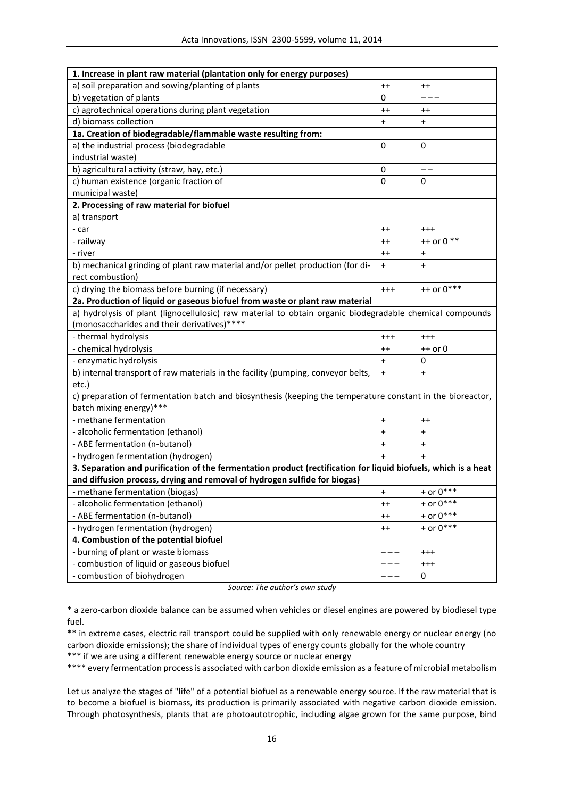| 1. Increase in plant raw material (plantation only for energy purposes)                                        |                 |                 |  |  |
|----------------------------------------------------------------------------------------------------------------|-----------------|-----------------|--|--|
| a) soil preparation and sowing/planting of plants                                                              | $^{++}$         | $^{++}$         |  |  |
| b) vegetation of plants                                                                                        | 0               |                 |  |  |
| c) agrotechnical operations during plant vegetation                                                            | $^{++}$         | $^{\mathrm{+}}$ |  |  |
| d) biomass collection                                                                                          | $\ddot{}$       | $\ddot{}$       |  |  |
| 1a. Creation of biodegradable/flammable waste resulting from:                                                  |                 |                 |  |  |
| a) the industrial process (biodegradable                                                                       | 0               | 0               |  |  |
| industrial waste)                                                                                              |                 |                 |  |  |
| b) agricultural activity (straw, hay, etc.)                                                                    | 0               | --              |  |  |
| c) human existence (organic fraction of                                                                        | 0               | 0               |  |  |
| municipal waste)                                                                                               |                 |                 |  |  |
| 2. Processing of raw material for biofuel                                                                      |                 |                 |  |  |
| a) transport                                                                                                   |                 |                 |  |  |
| - car                                                                                                          | $^{++}$         | $^{+++}$        |  |  |
| - railway                                                                                                      | $^{\mathrm{+}}$ | $++$ or 0 $**$  |  |  |
| - river                                                                                                        | $^{++}$         | $\ddot{}$       |  |  |
| b) mechanical grinding of plant raw material and/or pellet production (for di-                                 | $\ddot{}$       | $\ddot{}$       |  |  |
| rect combustion)                                                                                               |                 |                 |  |  |
| c) drying the biomass before burning (if necessary)                                                            | $^{+++}$        | ++ or 0***      |  |  |
| 2a. Production of liquid or gaseous biofuel from waste or plant raw material                                   |                 |                 |  |  |
| a) hydrolysis of plant (lignocellulosic) raw material to obtain organic biodegradable chemical compounds       |                 |                 |  |  |
| (monosaccharides and their derivatives)****                                                                    |                 |                 |  |  |
| - thermal hydrolysis                                                                                           | $^{++}$         | $^{+++}$        |  |  |
| - chemical hydrolysis                                                                                          | $^{\mathrm{+}}$ | ++ or 0         |  |  |
| - enzymatic hydrolysis                                                                                         | $\ddot{}$       | 0               |  |  |
| b) internal transport of raw materials in the facility (pumping, conveyor belts,                               | $\ddot{}$       | $\ddot{}$       |  |  |
| etc.)                                                                                                          |                 |                 |  |  |
| c) preparation of fermentation batch and biosynthesis (keeping the temperature constant in the bioreactor,     |                 |                 |  |  |
| batch mixing energy)***                                                                                        |                 |                 |  |  |
| - methane fermentation                                                                                         | $\ddot{}$       | $^{++}$         |  |  |
| - alcoholic fermentation (ethanol)                                                                             | $\pmb{+}$       | $\ddot{}$       |  |  |
| - ABE fermentation (n-butanol)                                                                                 | $\pmb{+}$       | $\ddot{}$       |  |  |
| - hydrogen fermentation (hydrogen)                                                                             | $+$             | $+$             |  |  |
| 3. Separation and purification of the fermentation product (rectification for liquid biofuels, which is a heat |                 |                 |  |  |
| and diffusion process, drying and removal of hydrogen sulfide for biogas)                                      |                 |                 |  |  |
| - methane fermentation (biogas)                                                                                | $  +$           | + or $0***$     |  |  |
| - alcoholic fermentation (ethanol)                                                                             | $^{++}$         | + or $0***$     |  |  |
| - ABE fermentation (n-butanol)                                                                                 | $^{++}$         | + or $0***$     |  |  |
| - hydrogen fermentation (hydrogen)                                                                             | $^{++}$         | + or $0***$     |  |  |
| 4. Combustion of the potential biofuel                                                                         |                 |                 |  |  |
| - burning of plant or waste biomass                                                                            |                 | $^{+++}$        |  |  |
| - combustion of liquid or gaseous biofuel                                                                      |                 | $^{+++}$        |  |  |
| - combustion of biohydrogen                                                                                    |                 | 0               |  |  |

*Source: The author's own study*

\* a zero-carbon dioxide balance can be assumed when vehicles or diesel engines are powered by biodiesel type fuel.

\*\* in extreme cases, electric rail transport could be supplied with only renewable energy or nuclear energy (no carbon dioxide emissions); the share of individual types of energy counts globally for the whole country

\*\*\* if we are using a different renewable energy source or nuclear energy

\*\*\*\* every fermentation process is associated with carbon dioxide emission as a feature of microbial metabolism

Let us analyze the stages of "life" of a potential biofuel as a renewable energy source. If the raw material that is to become a biofuel is biomass, its production is primarily associated with negative carbon dioxide emission. Through photosynthesis, plants that are photoautotrophic, including algae grown for the same purpose, bind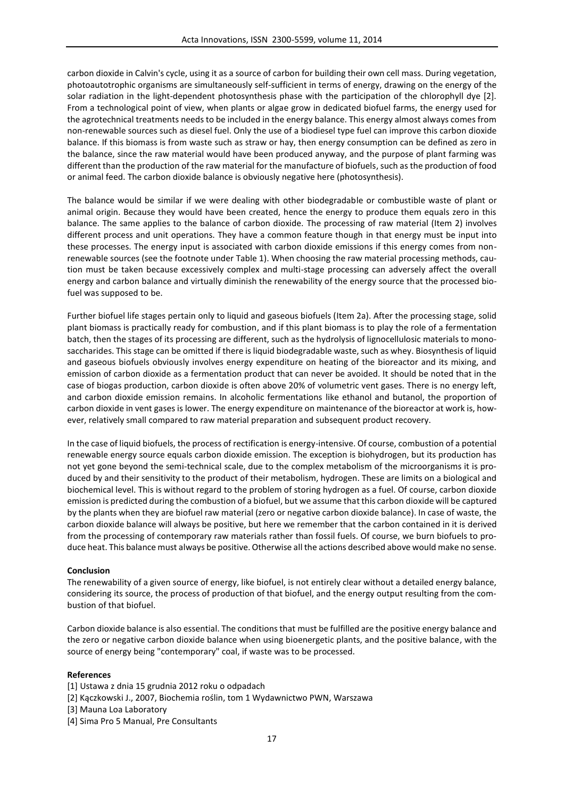carbon dioxide in Calvin's cycle, using it as a source of carbon for building their own cell mass. During vegetation, photoautotrophic organisms are simultaneously self-sufficient in terms of energy, drawing on the energy of the solar radiation in the light-dependent photosynthesis phase with the participation of the chlorophyll dye [2]. From a technological point of view, when plants or algae grow in dedicated biofuel farms, the energy used for the agrotechnical treatments needs to be included in the energy balance. This energy almost always comes from non-renewable sources such as diesel fuel. Only the use of a biodiesel type fuel can improve this carbon dioxide balance. If this biomass is from waste such as straw or hay, then energy consumption can be defined as zero in the balance, since the raw material would have been produced anyway, and the purpose of plant farming was different than the production of the raw material for the manufacture of biofuels, such as the production of food or animal feed. The carbon dioxide balance is obviously negative here (photosynthesis).

The balance would be similar if we were dealing with other biodegradable or combustible waste of plant or animal origin. Because they would have been created, hence the energy to produce them equals zero in this balance. The same applies to the balance of carbon dioxide. The processing of raw material (Item 2) involves different process and unit operations. They have a common feature though in that energy must be input into these processes. The energy input is associated with carbon dioxide emissions if this energy comes from nonrenewable sources (see the footnote under Table 1). When choosing the raw material processing methods, caution must be taken because excessively complex and multi-stage processing can adversely affect the overall energy and carbon balance and virtually diminish the renewability of the energy source that the processed biofuel was supposed to be.

Further biofuel life stages pertain only to liquid and gaseous biofuels (Item 2a). After the processing stage, solid plant biomass is practically ready for combustion, and if this plant biomass is to play the role of a fermentation batch, then the stages of its processing are different, such as the hydrolysis of lignocellulosic materials to monosaccharides. This stage can be omitted if there is liquid biodegradable waste, such as whey. Biosynthesis of liquid and gaseous biofuels obviously involves energy expenditure on heating of the bioreactor and its mixing, and emission of carbon dioxide as a fermentation product that can never be avoided. It should be noted that in the case of biogas production, carbon dioxide is often above 20% of volumetric vent gases. There is no energy left, and carbon dioxide emission remains. In alcoholic fermentations like ethanol and butanol, the proportion of carbon dioxide in vent gases is lower. The energy expenditure on maintenance of the bioreactor at work is, however, relatively small compared to raw material preparation and subsequent product recovery.

In the case of liquid biofuels, the process of rectification is energy-intensive. Of course, combustion of a potential renewable energy source equals carbon dioxide emission. The exception is biohydrogen, but its production has not yet gone beyond the semi-technical scale, due to the complex metabolism of the microorganisms it is produced by and their sensitivity to the product of their metabolism, hydrogen. These are limits on a biological and biochemical level. This is without regard to the problem of storing hydrogen as a fuel. Of course, carbon dioxide emission is predicted during the combustion of a biofuel, but we assume that this carbon dioxide will be captured by the plants when they are biofuel raw material (zero or negative carbon dioxide balance). In case of waste, the carbon dioxide balance will always be positive, but here we remember that the carbon contained in it is derived from the processing of contemporary raw materials rather than fossil fuels. Of course, we burn biofuels to produce heat. This balance must always be positive. Otherwise all the actions described above would make no sense.

### **Conclusion**

The renewability of a given source of energy, like biofuel, is not entirely clear without a detailed energy balance, considering its source, the process of production of that biofuel, and the energy output resulting from the combustion of that biofuel.

Carbon dioxide balance is also essential. The conditions that must be fulfilled are the positive energy balance and the zero or negative carbon dioxide balance when using bioenergetic plants, and the positive balance, with the source of energy being "contemporary" coal, if waste was to be processed.

#### **References**

- [1] Ustawa z dnia 15 grudnia 2012 roku o odpadach
- [2] Kączkowski J., 2007, Biochemia roślin, tom 1 Wydawnictwo PWN, Warszawa
- [3] Mauna Loa Laboratory
- [4] Sima Pro 5 Manual, Pre Consultants